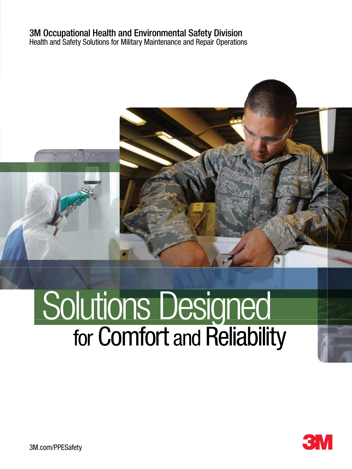# 3M Occupational Health and Environmental Safety Division

Health and Safety Solutions for Military Maintenance and Repair Operations

# for Comfort and Reliability Solutions Designed

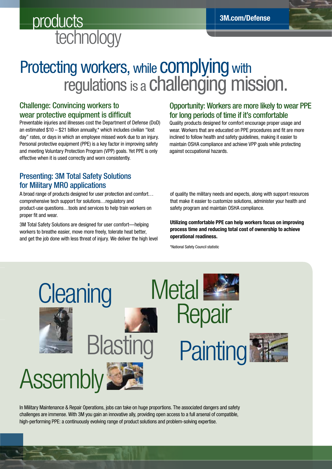# products<br>technology

# Protecting workers, while **COMPlying** with regulations is a challenging mission.

### Challenge: Convincing workers to wear protective equipment is difficult

Preventable injuries and illnesses cost the Department of Defense (DoD) an estimated  $$10 - $21$  billion annually,\* which includes civilian "lost day" rates, or days in which an employee missed work due to an injury. Personal protective equipment (PPE) is a key factor in improving safety and meeting Voluntary Protection Program (VPP) goals. Yet PPE is only effective when it is used correctly and worn consistently.

### Presenting: 3M Total Safety Solutions for Military MRO applications

A broad range of products designed for user protection and comfort… comprehensive tech support for solutions…regulatory and product-use questions…tools and services to help train workers on proper fit and wear.

3M Total Safety Solutions are designed for user comfort—helping workers to breathe easier, move more freely, tolerate heat better, and get the job done with less threat of injury. We deliver the high level

### Opportunity: Workers are more likely to wear PPE for long periods of time if it's comfortable

Quality products designed for comfort encourage proper usage and wear. Workers that are educated on PPE procedures and fit are more inclined to follow health and safety guidelines, making it easier to maintain OSHA compliance and achieve VPP goals while protecting against occupational hazards.

of quality the military needs and expects, along with support resources that make it easier to customize solutions, administer your health and safety program and maintain OSHA compliance.

Utilizing comfortable PPE can help workers focus on improving process time and reducing total cost of ownership to achieve operational readiness.

\*National Safety Council statistic



In Military Maintenance & Repair Operations, jobs can take on huge proportions. The associated dangers and safety challenges are immense. With 3M you gain an innovative ally, providing open access to a full arsenal of compatible, high-performing PPE: a continuously evolving range of product solutions and problem-solving expertise.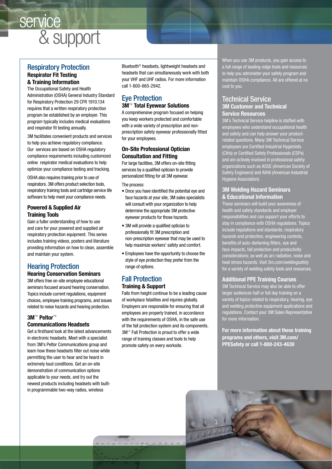# & support service

### Respiratory Protection Respirator Fit Testing & Training Information

The Occupational Safety and Health Administration (OSHA) General Industry Standard for Respiratory Protection 29 CFR 1910.134 requires that a written respiratory protection program be established by an employer. This program typically includes medical evaluations and respirator fit testing annually.

3M facilitates convenient products and services to help you achieve regulatory compliance. Our services are based on OSHA regulatory compliance requirements including customized online respirator medical evaluations to help optimize your compliance testing and tracking.

OSHA also requires training prior to use of respirators. 3M offers product selection tools, respiratory training tools and cartridge service life software to help meet your compliance needs.

### Powered & Supplied Air Training Tools

Gain a fuller understanding of how to use and care for your powered and supplied air respiratory protection equipment. This series includes training videos, posters and literature providing information on how to clean, assemble and maintain your system.

### Hearing Protection

### Hearing Conservation Seminars

3M offers free on-site employee educational seminars focused around hearing conservation. Topics include current regulations, equipment choices, employee training programs, and issues related to noise hazards and hearing protection.

### 3M™ Peltor™ Communications Headsets

Get a firsthand look at the latest advancements in electronic headsets. Meet with a specialist from 3M's Peltor Communications group and learn how these headsets filter out noise while permitting the user to hear and be heard in extremely loud conditions. Get an on-site demonstration of communication options applicable to your needs, and try out the newest products including headsets with builtin programmable two-way radios, wireless

Bluetooth® headsets, lightweight headsets and headsets that can simultaneously work with both your VHF and UHF radios. For more information call 1-800-665-2942.

### Eye Protection 3M™ Total Eyewear Solutions

A comprehensive program focused on helping you keep workers protected and comfortable with a wide variety of prescription and nonprescription safety eyewear professionally fitted for your employees.

### On-Site Professional Optician Consultation and Fitting

For large facilities, 3M offers on-site fitting services by a qualified optician to provide personalized fitting for all 3M eyewear.

#### The process:

- Once you have identified the potential eye and face hazards at your site, 3M sales specialists will consult with your organization to help determine the appropriate 3M protective eyewear products for those hazards.
- 3M will provide a qualified optician to professionally fit 3M prescription and non-prescription eyewear that may be used to help maximize workers' safety and comfort.
- Employees have the opportunity to choose the style of eye protection they prefer from the range of options.

### Fall Protection Training & Support

Falls from height continue to be a leading cause of workplace fatalities and injuries globally. Employers are responsible for ensuring that all employees are properly trained, in accordance with the requirements of OSHA, in the safe use of the fall protection system and its components. 3M™ Fall Protection is proud to offer a wide range of training classes and tools to help promote safety on every worksite.

When you use 3M products, you gain access to a full range of leading-edge tools and resources to help you administer your safety program and maintain OSHA compliance. All are offered at no cost to you.

### Technical Service 3M Customer and Technical Service Resources

3M's Technical Service helpline is staffed with employees who understand occupational health and safety and can help answer your productrelated questions. Many 3M Technical Service employees are Certified Industrial Hygienists (CIHs) or Certified Safety Professionals (CSPs) and are actively involved in professional safety organizations such as ASSE (American Society of Safety Engineers) and AIHA (American Industrial Hygiene Association).

### 3M Welding Hazard Seminars & Educational Information

These seminars will build your awareness of health and safety standards and employer responsibilities and can support your efforts to stay in compliance with OSHA regulations. Topics include regulations and standards, respiratory hazards and protection, engineering controls, benefits of auto-darkening filters, eye and te impacts, fall protection and productivity considerations; as well as arc radiation, noise and heat stress hazards. Visit 3m.com/weldingsafety for a variety of welding safety tools and resources.

### Additional PPE Training Courses

3M Technical Service may also be able to offer larger audiences half or full day training on a variety of topics related to respiratory, hearing, eye and welding protective equipment applications and regulations. Contact your 3M Sales Representative for more information.

For more information about these training programs and others, visit 3M.com/ PPESafety or call 1-800-243-4630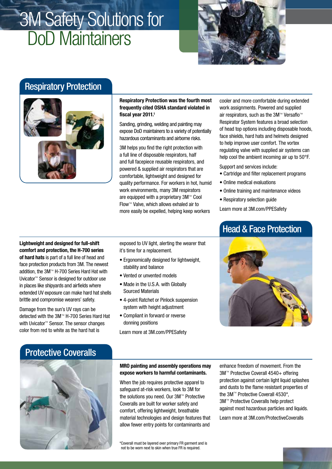# 3M Safety Solutions for DoD Maintainers



# Respiratory Protection



Respiratory Protection was the fourth most frequently cited OSHA standard violated in fiscal year 2011.<sup>1</sup>

Sanding, grinding, welding and painting may expose DoD maintainers to a variety of potentially hazardous contaminants and airborne risks.

3M helps you find the right protection with a full line of disposable respirators, half and full facepiece reusable respirators, and powered & supplied air respirators that are comfortable, lightweight and designed for quality performance. For workers in hot, humid work environments, many 3M respirators are equipped with a proprietary 3M™ Cool Flow™ Valve, which allows exhaled air to more easily be expelled, helping keep workers

Lightweight and designed for full-shift comfort and protection, the H-700 series of hard hats is part of a full line of head and face protection products from 3M. The newest addition, the 3M™ H-700 Series Hard Hat with Uvicator™ Sensor is designed for outdoor use in places like shipyards and airfields where extended UV exposure can make hard hat shells brittle and compromise wearers' safety.

Damage from the sun's UV rays can be detected with the 3M™ H-700 Series Hard Hat with Uvicator<sup>™</sup> Sensor. The sensor changes color from red to white as the hard hat is

exposed to UV light, alerting the wearer that it's time for a replacement.

- Ergonomically designed for lightweight, stability and balance
- Vented or unvented models
- Made in the U.S.A. with Globally Sourced Materials
- 4-point Ratchet or Pinlock suspension system with height adjustment
- Compliant in forward or reverse donning positions

Learn more at 3M.com/PPESafety

### cooler and more comfortable during extended work assignments. Powered and supplied air respirators, such as the 3M™ Versaflo™ Respirator System features a broad selection of head top options including disposable hoods, face shields, hard hats and helmets designed to help improve user comfort. The vortex regulating valve with supplied air systems can help cool the ambient incoming air up to 50°F.

Support and services include:

- Cartridge and filter replacement programs
- Online medical evaluations
- Online training and maintenance videos
- Respiratory selection guide

Learn more at 3M.com/PPESafety

# Head & Face Protection



# Protective Coveralls



### MRO painting and assembly operations may expose workers to harmful contaminants.

When the job requires protective apparel to safeguard at-risk workers, look to 3M for the solutions you need. Our 3M™ Protective Coveralls are built for worker safety and comfort, offering lightweight, breathable material technologies and design features that allow fewer entry points for contaminants and

\*Coverall must be layered over primary FR garment and is not to be worn next to skin when true FR is required.

enhance freedom of movement. From the 3M™ Protective Coverall 4540+ offering protection against certain light liquid splashes and dusts to the flame resistant properties of the 3M™ Protective Coverall 4530\*, 3M™ Protective Coveralls help protect against most hazardous particles and liquids.

Learn more at 3M.com/ProtectiveCoveralls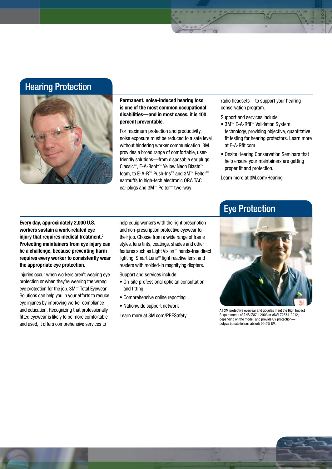## Hearing Protection



Permanent, noise-induced hearing loss is one of the most common occupational disabilities—and in most cases, it is 100 percent preventable.

For maximum protection and productivity, noise exposure must be reduced to a safe level without hindering worker communication. 3M provides a broad range of comfortable, userfriendly solutions—from disposable ear plugs, Classic™, E-A-Rsoft™ Yellow Neon Blasts™ foam, to E-A-R™ Push-Ins™ and 3M™ Peltor™ earmuffs to high-tech electronic ORA TAC ear plugs and 3M™ Peltor™ two-way

radio headsets—to support your hearing conservation program.

Support and services include:

- 3M™ E-A-Rfit™ Validation System technology, providing objective, quantitative fit testing for hearing protectors. Learn more at E-A-Rfit.com.
- Onsite Hearing Conservation Seminars that help ensure your maintainers are getting proper fit and protection.

Learn more at 3M.com/Hearing

Every day, approximately 2,000 U.S. workers sustain a work-related eye injury that requires medical treatment.<sup>2</sup> Protecting maintainers from eye injury can be a challenge, because preventing harm requires every worker to consistently wear the appropriate eye protection.

Injuries occur when workers aren't wearing eye protection or when they're wearing the wrong eye protection for the job. 3M™ Total Eyewear Solutions can help you in your efforts to reduce eye injuries by improving worker compliance and education. Recognizing that professionally fitted eyewear is likely to be more comfortable and used, it offers comprehensive services to

help equip workers with the right prescription and non-prescription protective eyewear for their job. Choose from a wide range of frame styles, lens tints, coatings, shades and other features such as Light Vision™ hands-free direct lighting, Smart Lens™ light reactive lens, and readers with molded-in magnifying diopters.

Support and services include:

- On-site professional optician consultation and fitting
- Comprehensive online reporting
- Nationwide support network

Learn more at 3M.com/PPESafety



All 3M protective eyewear and goggles meet the High Impact Requirements of ANSI Z87.1-2003 or ANSI Z287.1-2012, depending on the model, and provide UV protectionpolycarbonate lenses absorb 99.9% UV.

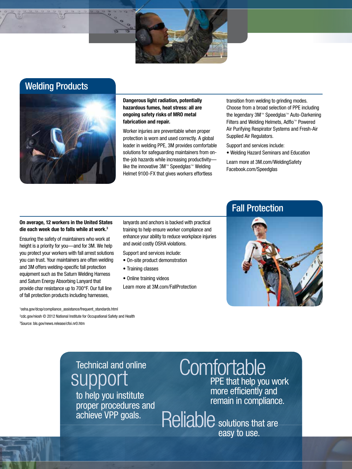# Welding Products



Dangerous light radiation, potentially hazardous fumes, heat stress: all are ongoing safety risks of MRO metal fabrication and repair.

Worker injuries are preventable when proper protection is worn and used correctly. A global leader in welding PPE, 3M provides comfortable solutions for safeguarding maintainers from onthe-job hazards while increasing productivity like the innovative 3M™ Speedglas™ Welding Helmet 9100-FX that gives workers effortless

transition from welding to grinding modes. Choose from a broad selection of PPE including the legendary 3M™ Speedglas™ Auto-Darkening Filters and Welding Helmets, Adflo™ Powered Air Purifying Respirator Systems and Fresh-Air Supplied Air Regulators.

Support and services include:

• Welding Hazard Seminars and Education

Learn more at 3M.com/WeldingSafety Facebook.com/Speedglas

#### On average, 12 workers in the United States die each week due to falls while at work.<sup>3</sup>

Ensuring the safety of maintainers who work at height is a priority for you—and for 3M. We help you protect your workers with fall arrest solutions you can trust. Your maintainers are often welding and 3M offers welding-specific fall protection equipment such as the Saturn Welding Harness and Saturn Energy Absorbing Lanyard that provide char resistance up to 700°F. Our full line of fall protection products including harnesses,

lanyards and anchors is backed with practical training to help ensure worker compliance and enhance your ability to reduce workplace injuries and avoid costly OSHA violations.

- Support and services include:
- On-site product demonstration
- Training classes
- Online training videos

Learn more at 3M.com/FallProtection



2 cdc.gov/niosh © 2012 National Institute for Occupational Safety and Health 3 Source: bls.gov/news.release/cfoi.nr0.htm

1 osha.gov/dcsp/compliance\_assistance/frequent\_standards.html

# Technical and online support

to help you institute proper procedures and achieve VPP goals.

# **Comfortable**

PPE that help you work more efficiently and remain in compliance.

Reliable solutions that are easy to use.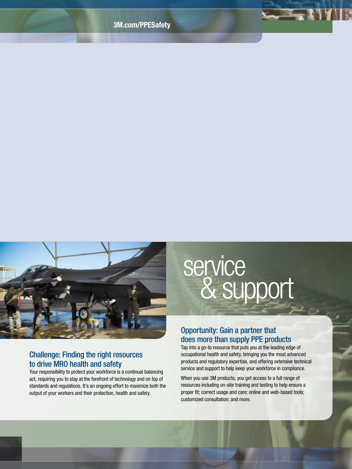

### Challenge: Finding the right resources to drive MRO health and safety

Your responsibility to protect your workforce is a continual balancing act, requiring you to stay at the forefront of technology and on top of standards and regulations. It's an ongoing effort to maximize both the output of your workers and their protection, health and safety.

# & support service

### Opportunity: Gain a partner that does more than supply PPE products

Tap into a go-to resource that puts you at the leading edge of occupational health and safety, bringing you the most advanced products and regulatory expertise, and offering extensive technical service and support to help keep your workforce in compliance.

When you use 3M products, you get access to a full range of resources including on-site training and testing to help ensure a proper fit; correct usage and care; online and web-based tools; customized consultation; and more.